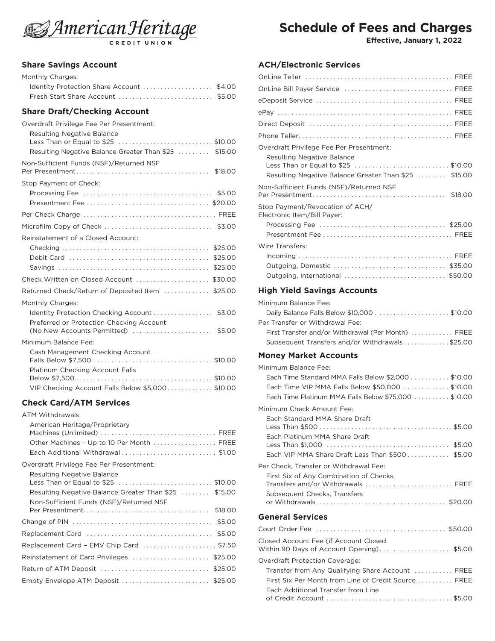

#### **Share Savings Account**

| Monthly Charges:                          |  |
|-------------------------------------------|--|
| Identity Protection Share Account  \$4.00 |  |
| Fresh Start Share Account  \$5.00         |  |

## **Share Draft/Checking Account**

| Overdraft Privilege Fee Per Presentment:<br><b>Resulting Negative Balance</b>            |
|------------------------------------------------------------------------------------------|
| Less Than or Equal to \$25  \$10.00                                                      |
| Resulting Negative Balance Greater Than \$25  \$15.00                                    |
| Non-Sufficient Funds (NSF)/Returned NSF                                                  |
| Stop Payment of Check:                                                                   |
|                                                                                          |
|                                                                                          |
|                                                                                          |
|                                                                                          |
| Reinstatement of a Closed Account:                                                       |
|                                                                                          |
| \$25.00                                                                                  |
| \$25.00                                                                                  |
| Check Written on Closed Account  \$30.00                                                 |
| Returned Check/Return of Deposited Item  \$25.00                                         |
| Monthly Charges:                                                                         |
| Identity Protection Checking Account  \$3.00<br>Preferred or Protection Checking Account |
| (No New Accounts Permitted) \$5.00                                                       |
| Minimum Balance Fee:                                                                     |
| Cash Management Checking Account                                                         |
|                                                                                          |
| Platinum Checking Account Falls                                                          |
|                                                                                          |
| VIP Checking Account Falls Below \$5,000 \$10.00                                         |

## **Check Card/ATM Services**

# **Schedule of Fees and Charges**

**Effective, January 1, 2022**

#### **ACH/Electronic Services**

| OnLine Bill Payer Service  FREE                                         |
|-------------------------------------------------------------------------|
|                                                                         |
|                                                                         |
|                                                                         |
|                                                                         |
| Overdraft Privilege Fee Per Presentment:                                |
| <b>Resulting Negative Balance</b><br>Less Than or Equal to \$25 \$10.00 |
| Resulting Negative Balance Greater Than \$25  \$15.00                   |
| Non-Sufficient Funds (NSF)/Returned NSF                                 |
| Stop Payment/Revocation of ACH/<br>Electronic Item/Bill Payer:          |
|                                                                         |
|                                                                         |
| Wire Transfers:                                                         |
|                                                                         |
|                                                                         |
| Outgoing, International  \$50.00                                        |
| <b>High Yield Savings Accounts</b>                                      |

| Minimum Balance Fee:                               |  |
|----------------------------------------------------|--|
|                                                    |  |
| Per Transfer or Withdrawal Fee:                    |  |
| First Transfer and/or Withdrawal (Per Month)  FREE |  |
| Subsequent Transfers and/or Withdrawals\$25.00     |  |

#### **Money Market Accounts**

| Minimum Balance Fee:                                 |
|------------------------------------------------------|
| Each Time Standard MMA Falls Below \$2,000 \$10.00   |
| Each Time VIP MMA Falls Below \$50,000 \$10.00       |
| Each Time Platinum MMA Falls Below \$75,000  \$10.00 |
| Minimum Check Amount Fee:                            |
| Each Standard MMA Share Draft                        |
|                                                      |
| Each Platinum MMA Share Draft                        |
|                                                      |
| Each VIP MMA Share Draft Less Than \$500 \$5.00      |
| Per Check, Transfer or Withdrawal Fee:               |
| First Six of Any Combination of Checks,              |
| Transfers and/or Withdrawals  FREE                   |
| Subsequent Checks, Transfers                         |
|                                                      |
| <b>General Services</b>                              |
|                                                      |
| Closed Account Fee (if Account Closed                |
| Within 90 Days of Account Opening) \$5.00            |
| <b>Overdraft Protection Coverage:</b>                |
| Transfer from Any Qualifying Share Account  FREE     |
| First Six Per Month from Line of Credit Source  FREE |
| Each Additional Transfer from Line                   |
|                                                      |